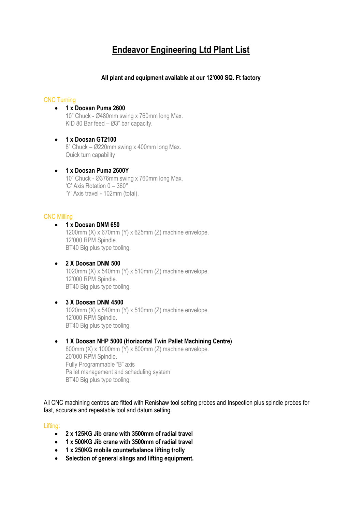# **Endeavor Engineering Ltd Plant List**

# **All plant and equipment available at our 12'000 SQ. Ft factory**

## CNC Turning

- **1 x Doosan Puma 2600** 10" Chuck - Ø480mm swing x 760mm long Max. KID 80 Bar feed – Ø3" bar capacity.
- **1 x Doosan GT2100** 8" Chuck – Ø220mm swing x 400mm long Max. Quick turn capability
- **1 x Doosan Puma 2600Y** 10" Chuck - Ø376mm swing x 760mm long Max. 'C' Axis Rotation 0 – 360° 'Y' Axis travel - 102mm (total).

## CNC Milling

- **1 x Doosan DNM 650** 1200mm (X) x 670mm (Y) x 625mm (Z) machine envelope. 12'000 RPM Spindle. BT40 Big plus type tooling.
- **2 X Doosan DNM 500** 1020mm (X) x 540mm (Y) x 510mm (Z) machine envelope. 12'000 RPM Spindle. BT40 Big plus type tooling.
- **3 X Doosan DNM 4500** 1020mm (X) x 540mm (Y) x 510mm (Z) machine envelope. 12'000 RPM Spindle. BT40 Big plus type tooling.
- **1 X Doosan NHP 5000 (Horizontal Twin Pallet Machining Centre)** 800mm (X) x 1000mm (Y) x 800mm (Z) machine envelope. 20'000 RPM Spindle. Fully Programmable "B" axis Pallet management and scheduling system BT40 Big plus type tooling.

All CNC machining centres are fitted with Renishaw tool setting probes and Inspection plus spindle probes for fast, accurate and repeatable tool and datum setting.

#### Lifting:

- **2 x 125KG Jib crane with 3500mm of radial travel**
- **1 x 500KG Jib crane with 3500mm of radial travel**
- **1 x 250KG mobile counterbalance lifting trolly**
- **Selection of general slings and lifting equipment.**